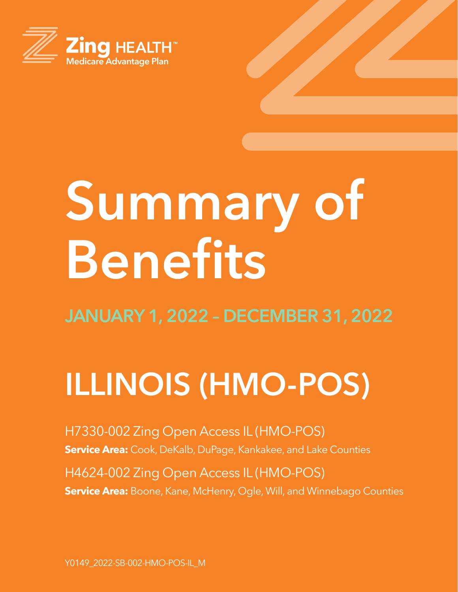

# **Summary of Benefits**

## **ILLINOIS (HMO-POS)**

H7330-002 Zing Open Access IL (HMO-POS) **Service Area:** Cook, DeKalb, DuPage, Kankakee, and Lake Counties

H4624-002 Zing Open Access IL (HMO-POS) **Service Area:** Boone, Kane, McHenry, Ogle, Will, and Winnebago Counties

Y0149\_2022-SB-002-HMO-POS-IL\_M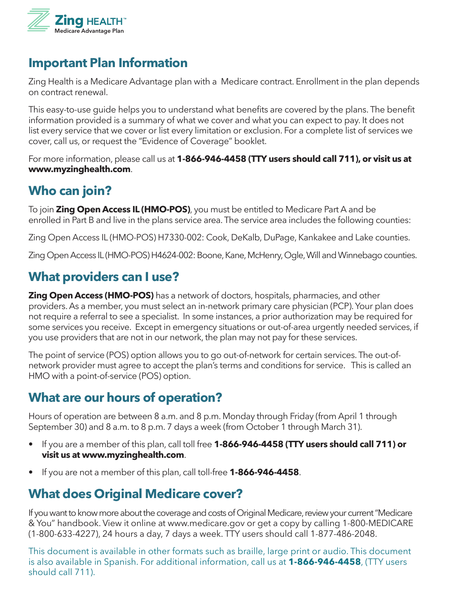

#### **Important Plan Information**

Zing Health is a Medicare Advantage plan with a Medicare contract. Enrollment in the plan depends on contract renewal.

This easy-to-use guide helps you to understand what benefits are covered by the plans. The benefit information provided is a summary of what we cover and what you can expect to pay. It does not list every service that we cover or list every limitation or exclusion. For a complete list of services we cover, call us, or request the "Evidence of Coverage" booklet.

For more information, please call us at **1-866-946-4458 (TTY users should call 711), or visit us at www.myzinghealth.com**.

## **Who can join?**

To join **Zing Open Access IL (HMO-POS)**, you must be entitled to Medicare Part A and be enrolled in Part B and live in the plans service area. The service area includes the following counties:

Zing Open Access IL (HMO-POS) H7330-002: Cook, DeKalb, DuPage, Kankakee and Lake counties.

Zing Open Access IL (HMO-POS) H4624-002: Boone, Kane, McHenry, Ogle, Will and Winnebago counties.

## **What providers can I use?**

**Zing Open Access (HMO-POS)** has a network of doctors, hospitals, pharmacies, and other providers. As a member, you must select an in-network primary care physician (PCP). Your plan does not require a referral to see a specialist. In some instances, a prior authorization may be required for some services you receive. Except in emergency situations or out-of-area urgently needed services, if you use providers that are not in our network, the plan may not pay for these services.

The point of service (POS) option allows you to go out-of-network for certain services. The out-ofnetwork provider must agree to accept the plan's terms and conditions for service. This is called an HMO with a point-of-service (POS) option.

## **What are our hours of operation?**

Hours of operation are between 8 a.m. and 8 p.m. Monday through Friday (from April 1 through September 30) and 8 a.m. to 8 p.m. 7 days a week (from October 1 through March 31).

- If you are a member of this plan, call toll free **1-866-946-4458 (TTY users should call 711) or visit us at www.myzinghealth.com**.
- If you are not a member of this plan, call toll-free **1-866-946-4458**.

## **What does Original Medicare cover?**

If you want to know more about the coverage and costs of Original Medicare, review your current "Medicare & You" handbook. View it online at www.medicare.gov or get a copy by calling 1-800-MEDICARE (1-800-633-4227), 24 hours a day, 7 days a week. TTY users should call 1-877-486-2048.

This document is available in other formats such as braille, large print or audio. This document is also available in Spanish. For additional information, call us at **1-866-946-4458**, (TTY users should call 711).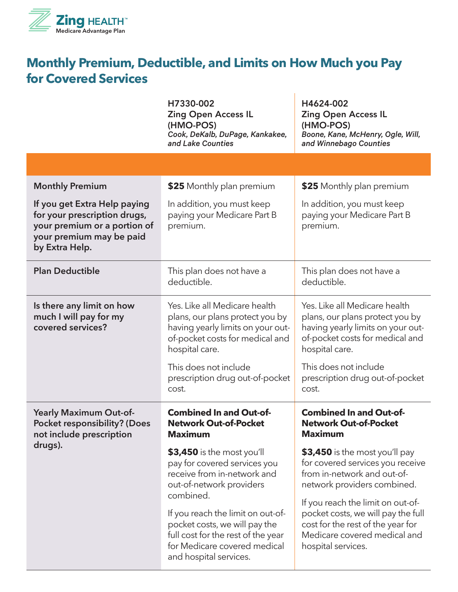

## **Monthly Premium, Deductible, and Limits on How Much you Pay for Covered Services**

 $\overline{1}$ 

|                                                                                                                                            | H7330-002<br><b>Zing Open Access IL</b><br>(HMO-POS)<br>Cook, DeKalb, DuPage, Kankakee,<br>and Lake Counties                                                                    | H4624-002<br><b>Zing Open Access IL</b><br>(HMO-POS)<br>Boone, Kane, McHenry, Ogle, Will,<br>and Winnebago Counties                                                |
|--------------------------------------------------------------------------------------------------------------------------------------------|---------------------------------------------------------------------------------------------------------------------------------------------------------------------------------|--------------------------------------------------------------------------------------------------------------------------------------------------------------------|
|                                                                                                                                            |                                                                                                                                                                                 |                                                                                                                                                                    |
| <b>Monthly Premium</b>                                                                                                                     | \$25 Monthly plan premium                                                                                                                                                       | \$25 Monthly plan premium                                                                                                                                          |
| If you get Extra Help paying<br>for your prescription drugs,<br>your premium or a portion of<br>your premium may be paid<br>by Extra Help. | In addition, you must keep<br>paying your Medicare Part B<br>premium.                                                                                                           | In addition, you must keep<br>paying your Medicare Part B<br>premium.                                                                                              |
| <b>Plan Deductible</b>                                                                                                                     | This plan does not have a<br>deductible.                                                                                                                                        | This plan does not have a<br>deductible.                                                                                                                           |
| Is there any limit on how<br>much I will pay for my<br>covered services?                                                                   | Yes. Like all Medicare health<br>plans, our plans protect you by<br>having yearly limits on your out-<br>of-pocket costs for medical and<br>hospital care.                      | Yes. Like all Medicare health<br>plans, our plans protect you by<br>having yearly limits on your out-<br>of-pocket costs for medical and<br>hospital care.         |
|                                                                                                                                            | This does not include<br>prescription drug out-of-pocket<br>cost.                                                                                                               | This does not include<br>prescription drug out-of-pocket<br>cost.                                                                                                  |
| Yearly Maximum Out-of-<br><b>Pocket responsibility? (Does</b><br>not include prescription                                                  | <b>Combined In and Out-of-</b><br><b>Network Out-of-Pocket</b><br><b>Maximum</b>                                                                                                | <b>Combined In and Out-of-</b><br><b>Network Out-of-Pocket</b><br><b>Maximum</b>                                                                                   |
| drugs).                                                                                                                                    | \$3,450 is the most you'll<br>pay for covered services you<br>receive from in-network and<br>out-of-network providers                                                           | \$3,450 is the most you'll pay<br>for covered services you receive<br>from in-network and out-of-<br>network providers combined.                                   |
|                                                                                                                                            | combined.<br>If you reach the limit on out-of-<br>pocket costs, we will pay the<br>full cost for the rest of the year<br>for Medicare covered medical<br>and hospital services. | If you reach the limit on out-of-<br>pocket costs, we will pay the full<br>cost for the rest of the year for<br>Medicare covered medical and<br>hospital services. |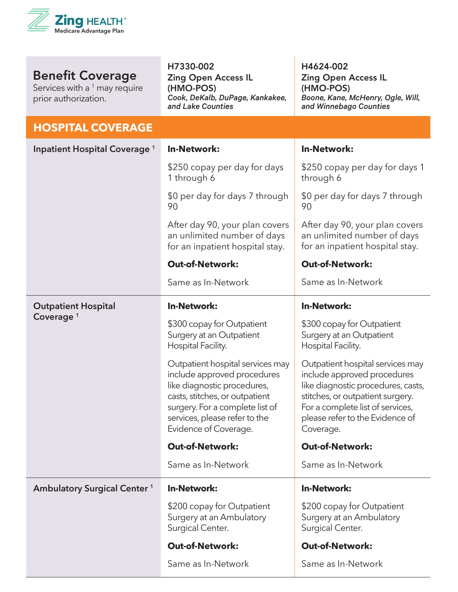

Services with a <sup>1</sup> may require prior authorization.

H7330-002 Zing Open Access IL (HMO-POS) *Cook, DeKalb, DuPage, Kankakee, and Lake Counties*

H4624-002 Zing Open Access IL (HMO-POS) *Boone, Kane, McHenry, Ogle, Will, and Winnebago Counties*

#### **HOSPITAL COVERAGE**

| Inpatient Hospital Coverage <sup>1</sup> | <b>In-Network:</b>                                                                                                                                                                                                            | <b>In-Network:</b>                                                                                                                                                                                                            |
|------------------------------------------|-------------------------------------------------------------------------------------------------------------------------------------------------------------------------------------------------------------------------------|-------------------------------------------------------------------------------------------------------------------------------------------------------------------------------------------------------------------------------|
|                                          | \$250 copay per day for days<br>1 through 6                                                                                                                                                                                   | \$250 copay per day for days 1<br>through 6                                                                                                                                                                                   |
|                                          | \$0 per day for days 7 through<br>90                                                                                                                                                                                          | \$0 per day for days 7 through<br>90                                                                                                                                                                                          |
|                                          | After day 90, your plan covers<br>an unlimited number of days<br>for an inpatient hospital stay.                                                                                                                              | After day 90, your plan covers<br>an unlimited number of days<br>for an inpatient hospital stay.                                                                                                                              |
|                                          | <b>Out-of-Network:</b>                                                                                                                                                                                                        | <b>Out-of-Network:</b>                                                                                                                                                                                                        |
|                                          | Same as In-Network                                                                                                                                                                                                            | Same as In-Network                                                                                                                                                                                                            |
| <b>Outpatient Hospital</b>               | <b>In-Network:</b>                                                                                                                                                                                                            | <b>In-Network:</b>                                                                                                                                                                                                            |
| Coverage <sup>1</sup>                    | \$300 copay for Outpatient<br>Surgery at an Outpatient<br>Hospital Facility.                                                                                                                                                  | \$300 copay for Outpatient<br>Surgery at an Outpatient<br>Hospital Facility.                                                                                                                                                  |
|                                          | Outpatient hospital services may<br>include approved procedures<br>like diagnostic procedures,<br>casts, stitches, or outpatient<br>surgery. For a complete list of<br>services, please refer to the<br>Evidence of Coverage. | Outpatient hospital services may<br>include approved procedures<br>like diagnostic procedures, casts,<br>stitches, or outpatient surgery.<br>For a complete list of services,<br>please refer to the Evidence of<br>Coverage. |
|                                          | <b>Out-of-Network:</b>                                                                                                                                                                                                        | <b>Out-of-Network:</b>                                                                                                                                                                                                        |
|                                          | Same as In-Network                                                                                                                                                                                                            | Same as In-Network                                                                                                                                                                                                            |
| <b>Ambulatory Surgical Center 1</b>      | <b>In-Network:</b>                                                                                                                                                                                                            | <b>In-Network:</b>                                                                                                                                                                                                            |
|                                          | \$200 copay for Outpatient<br>Surgery at an Ambulatory<br>Surgical Center.                                                                                                                                                    | \$200 copay for Outpatient<br>Surgery at an Ambulatory<br>Surgical Center.                                                                                                                                                    |
|                                          | <b>Out-of-Network:</b>                                                                                                                                                                                                        | <b>Out-of-Network:</b>                                                                                                                                                                                                        |
|                                          | Same as In-Network                                                                                                                                                                                                            | Same as In-Network                                                                                                                                                                                                            |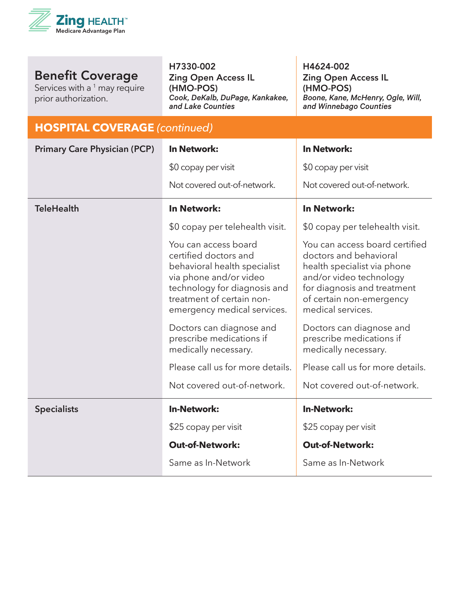

Services with a  $1$  may require prior authorization.

H7330-002

Zing Open Access IL (HMO-POS) *Cook, DeKalb, DuPage, Kankakee, and Lake Counties*

H4624-002 Zing Open Access IL (HMO-POS) *Boone, Kane, McHenry, Ogle, Will, and Winnebago Counties*

#### **HOSPITAL COVERAGE** *(continued)*

| <b>Primary Care Physician (PCP)</b> | <b>In Network:</b>                                                                                                                                                                                  | <b>In Network:</b>                                                                                                                                                                                 |
|-------------------------------------|-----------------------------------------------------------------------------------------------------------------------------------------------------------------------------------------------------|----------------------------------------------------------------------------------------------------------------------------------------------------------------------------------------------------|
|                                     | \$0 copay per visit                                                                                                                                                                                 | \$0 copay per visit                                                                                                                                                                                |
|                                     | Not covered out-of-network.                                                                                                                                                                         | Not covered out-of-network.                                                                                                                                                                        |
| <b>TeleHealth</b>                   | <b>In Network:</b>                                                                                                                                                                                  | <b>In Network:</b>                                                                                                                                                                                 |
|                                     | \$0 copay per telehealth visit.                                                                                                                                                                     | \$0 copay per telehealth visit.                                                                                                                                                                    |
|                                     | You can access board<br>certified doctors and<br>behavioral health specialist<br>via phone and/or video<br>technology for diagnosis and<br>treatment of certain non-<br>emergency medical services. | You can access board certified<br>doctors and behavioral<br>health specialist via phone<br>and/or video technology<br>for diagnosis and treatment<br>of certain non-emergency<br>medical services. |
|                                     | Doctors can diagnose and<br>prescribe medications if<br>medically necessary.                                                                                                                        | Doctors can diagnose and<br>prescribe medications if<br>medically necessary.                                                                                                                       |
|                                     | Please call us for more details.                                                                                                                                                                    | Please call us for more details.                                                                                                                                                                   |
|                                     | Not covered out-of-network.                                                                                                                                                                         | Not covered out-of-network.                                                                                                                                                                        |
| <b>Specialists</b>                  | <b>In-Network:</b>                                                                                                                                                                                  | <b>In-Network:</b>                                                                                                                                                                                 |
|                                     | \$25 copay per visit                                                                                                                                                                                | \$25 copay per visit                                                                                                                                                                               |
|                                     | <b>Out-of-Network:</b>                                                                                                                                                                              | <b>Out-of-Network:</b>                                                                                                                                                                             |
|                                     | Same as In-Network                                                                                                                                                                                  | Same as In-Network                                                                                                                                                                                 |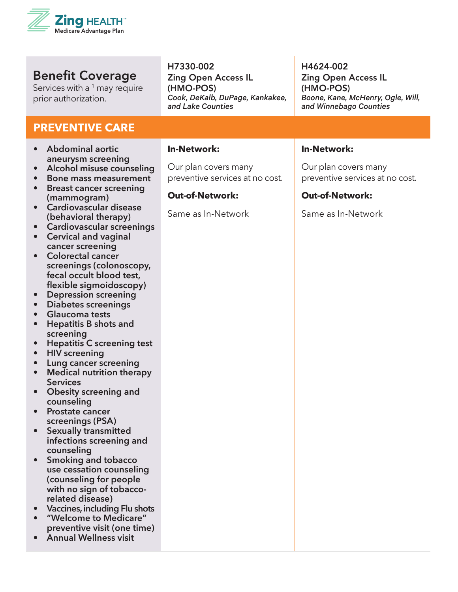

Services with a <sup>1</sup> may require prior authorization.

#### **PREVENTIVE CARE**

- **• Abdominal aortic aneurysm screening**
- **• Alcohol misuse counseling**
- **• Bone mass measurement**
- **• Breast cancer screening (mammogram) • Cardiovascular disease**
- **(behavioral therapy)**
- **• Cardiovascular screenings**
- **• Cervical and vaginal cancer screening**
- **• Colorectal cancer screenings (colonoscopy, fecal occult blood test, flexible sigmoidoscopy)**
- **• Depression screening**
- **• Diabetes screenings**
- **• Glaucoma tests**
- **• Hepatitis B shots and screening**
- **• Hepatitis C screening test**
- **• HIV screening**
- **• Lung cancer screening**
- **• Medical nutrition therapy Services**
- **• Obesity screening and counseling**
- **• Prostate cancer screenings (PSA)**
- **• Sexually transmitted infections screening and counseling**
- **• Smoking and tobacco use cessation counseling (counseling for people with no sign of tobaccorelated disease)**
- **• Vaccines, including Flu shots**
- **• "Welcome to Medicare" preventive visit (one time)**
- **• Annual Wellness visit**

H7330-002 Zing Open Access IL (HMO-POS) *Cook, DeKalb, DuPage, Kankakee, and Lake Counties*

#### **In-Network:**

Our plan covers many preventive services at no cost.

#### **Out-of-Network:**

Same as In-Network

#### H4624-002 Zing Open Access IL (HMO-POS) *Boone, Kane, McHenry, Ogle, Will, and Winnebago Counties*

#### **In-Network:**

Our plan covers many preventive services at no cost.

#### **Out-of-Network:**

Same as In-Network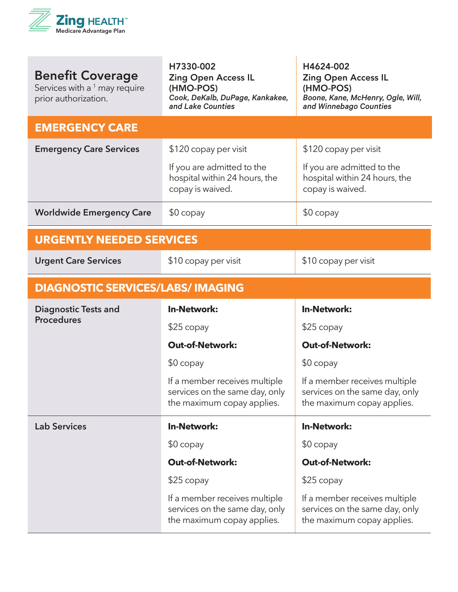

| <b>Benefit Coverage</b><br>Services with a <sup>1</sup> may require<br>prior authorization. | H7330-002<br><b>Zing Open Access IL</b><br>(HMO-POS)<br>Cook, DeKalb, DuPage, Kankakee,<br>and Lake Counties | H4624-002<br><b>Zing Open Access IL</b><br>(HMO-POS)<br>Boone, Kane, McHenry, Ogle, Will,<br>and Winnebago Counties |
|---------------------------------------------------------------------------------------------|--------------------------------------------------------------------------------------------------------------|---------------------------------------------------------------------------------------------------------------------|
| <b>EMERGENCY CARE</b>                                                                       |                                                                                                              |                                                                                                                     |
| <b>Emergency Care Services</b>                                                              | \$120 copay per visit                                                                                        | \$120 copay per visit                                                                                               |
|                                                                                             | If you are admitted to the<br>hospital within 24 hours, the<br>copay is waived.                              | If you are admitted to the<br>hospital within 24 hours, the<br>copay is waived.                                     |
| <b>Worldwide Emergency Care</b>                                                             | $$0$ copay                                                                                                   | $$0$ copay                                                                                                          |
| <b>URGENTLY NEEDED SERVICES</b>                                                             |                                                                                                              |                                                                                                                     |
| <b>Urgent Care Services</b>                                                                 | \$10 copay per visit                                                                                         | \$10 copay per visit                                                                                                |
| <b>DIAGNOSTIC SERVICES/LABS/ IMAGING</b>                                                    |                                                                                                              |                                                                                                                     |
| <b>Diagnostic Tests and</b>                                                                 | <b>In-Network:</b>                                                                                           | <b>In-Network:</b>                                                                                                  |
| <b>Procedures</b>                                                                           | $$25$ copay                                                                                                  | $$25$ copay                                                                                                         |
|                                                                                             | <b>Out-of-Network:</b>                                                                                       | <b>Out-of-Network:</b>                                                                                              |
|                                                                                             | $$0$ copay                                                                                                   | $$0$ copay                                                                                                          |
|                                                                                             | If a member receives multiple<br>services on the same day, only<br>the maximum copay applies.                | If a member receives multiple<br>services on the same day, only<br>the maximum copay applies.                       |
| <b>Lab Services</b>                                                                         | <b>In-Network:</b>                                                                                           | <b>In-Network:</b>                                                                                                  |
|                                                                                             | $$0$ copay                                                                                                   | $$0$ copay                                                                                                          |
|                                                                                             | <b>Out-of-Network:</b>                                                                                       | <b>Out-of-Network:</b>                                                                                              |
|                                                                                             | $$25$ copay                                                                                                  | $$25$ copay                                                                                                         |
|                                                                                             | If a member receives multiple<br>services on the same day, only<br>the maximum copay applies.                | If a member receives multiple<br>services on the same day, only<br>the maximum copay applies.                       |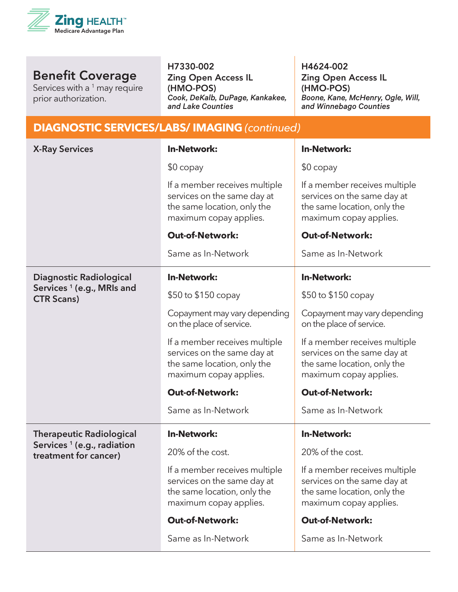

Services with a <sup>1</sup> may require prior authorization.

H7330-002

Zing Open Access IL (HMO-POS) *Cook, DeKalb, DuPage, Kankakee, and Lake Counties*

H4624-002 Zing Open Access IL (HMO-POS) *Boone, Kane, McHenry, Ogle, Will, and Winnebago Counties*

Same as In-Network

#### **DIAGNOSTIC SERVICES/LABS/ IMAGING** *(continued)* **X-Ray Services In-Network:** \$0 copay If a member receives multiple services on the same day at the same location, only the maximum copay applies. **Out-of-Network:** Same as In-Network **In-Network:** \$0 copay If a member receives multiple services on the same day at the same location, only the maximum copay applies. **Out-of-Network:** Same as In-Network **Diagnostic Radiological Services <sup>1</sup> (e.g., MRIs and CTR Scans) In-Network:** \$50 to \$150 copay Copayment may vary depending on the place of service. If a member receives multiple services on the same day at the same location, only the maximum copay applies. **Out-of-Network:** Same as In-Network **In-Network:** \$50 to \$150 copay Copayment may vary depending on the place of service. If a member receives multiple services on the same day at the same location, only the maximum copay applies. **Out-of-Network:** Same as In-Network **Therapeutic Radiological Services <sup>1</sup> (e.g., radiation treatment for cancer) In-Network:** 20% of the cost. If a member receives multiple services on the same day at the same location, only the maximum copay applies. **Out-of-Network: In-Network:** 20% of the cost. If a member receives multiple services on the same day at the same location, only the maximum copay applies. **Out-of-Network:**

Same as In-Network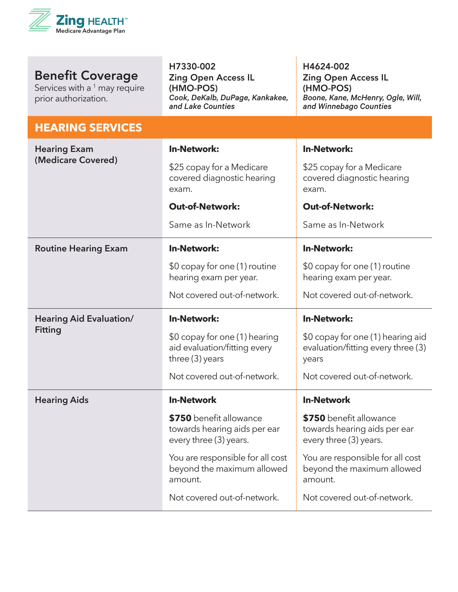

| <b>Benefit Coverage</b><br>Services with a <sup>1</sup> may require<br>prior authorization. | H7330-002<br><b>Zing Open Access IL</b><br>(HMO-POS)<br>Cook, DeKalb, DuPage, Kankakee,<br>and Lake Counties | H4624-002<br><b>Zing Open Access IL</b><br>(HMO-POS)<br>Boone, Kane, McHenry, Ogle, Will,<br>and Winnebago Counties |
|---------------------------------------------------------------------------------------------|--------------------------------------------------------------------------------------------------------------|---------------------------------------------------------------------------------------------------------------------|
| <b>HEARING SERVICES</b>                                                                     |                                                                                                              |                                                                                                                     |
| <b>Hearing Exam</b>                                                                         | <b>In-Network:</b>                                                                                           | <b>In-Network:</b>                                                                                                  |
| (Medicare Covered)                                                                          | \$25 copay for a Medicare<br>covered diagnostic hearing<br>exam.                                             | \$25 copay for a Medicare<br>covered diagnostic hearing<br>exam.                                                    |
|                                                                                             | <b>Out-of-Network:</b>                                                                                       | <b>Out-of-Network:</b>                                                                                              |
|                                                                                             | Same as In-Network                                                                                           | Same as In-Network                                                                                                  |
| <b>Routine Hearing Exam</b>                                                                 | <b>In-Network:</b>                                                                                           | <b>In-Network:</b>                                                                                                  |
|                                                                                             | \$0 copay for one (1) routine<br>hearing exam per year.                                                      | \$0 copay for one (1) routine<br>hearing exam per year.                                                             |
|                                                                                             | Not covered out-of-network.                                                                                  | Not covered out-of-network.                                                                                         |
| <b>Hearing Aid Evaluation/</b>                                                              | <b>In-Network:</b>                                                                                           | <b>In-Network:</b>                                                                                                  |
| <b>Fitting</b>                                                                              | \$0 copay for one (1) hearing<br>aid evaluation/fitting every<br>three $(3)$ years                           | \$0 copay for one (1) hearing aid<br>evaluation/fitting every three (3)<br>years                                    |
|                                                                                             | Not covered out-of-network.                                                                                  | Not covered out-of-network.                                                                                         |
| <b>Hearing Aids</b>                                                                         | <b>In-Network</b>                                                                                            | <b>In-Network</b>                                                                                                   |
|                                                                                             | \$750 benefit allowance<br>towards hearing aids per ear<br>every three (3) years.                            | \$750 benefit allowance<br>towards hearing aids per ear<br>every three (3) years.                                   |
|                                                                                             | You are responsible for all cost<br>beyond the maximum allowed<br>amount.                                    | You are responsible for all cost<br>beyond the maximum allowed<br>amount.                                           |
|                                                                                             | Not covered out-of-network.                                                                                  | Not covered out-of-network.                                                                                         |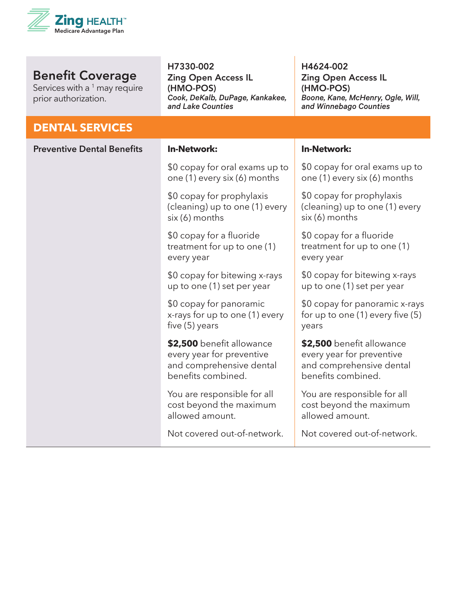

Services with a <sup>1</sup> may require prior authorization.

#### H7330-002 Zing Open Access IL (HMO-POS) *Cook, DeKalb, DuPage, Kankakee, and Lake Counties*

H4624-002 Zing Open Access IL (HMO-POS) *Boone, Kane, McHenry, Ogle, Will, and Winnebago Counties*

#### **DENTAL SERVICES**

| <b>Preventive Dental Benefits</b> | <b>In-Network:</b>                                                                                       | <b>In-Network:</b>                                                                                       |
|-----------------------------------|----------------------------------------------------------------------------------------------------------|----------------------------------------------------------------------------------------------------------|
|                                   | \$0 copay for oral exams up to<br>one (1) every six (6) months                                           | \$0 copay for oral exams up to<br>one (1) every six (6) months                                           |
|                                   | \$0 copay for prophylaxis<br>(cleaning) up to one (1) every<br>six (6) months                            | \$0 copay for prophylaxis<br>(cleaning) up to one (1) every<br>six (6) months                            |
|                                   | \$0 copay for a fluoride<br>treatment for up to one (1)<br>every year                                    | \$0 copay for a fluoride<br>treatment for up to one (1)<br>every year                                    |
|                                   | \$0 copay for bitewing x-rays<br>up to one (1) set per year                                              | \$0 copay for bitewing x-rays<br>up to one (1) set per year                                              |
|                                   | \$0 copay for panoramic<br>x-rays for up to one (1) every<br>five (5) years                              | \$0 copay for panoramic x-rays<br>for up to one (1) every five (5)<br>years                              |
|                                   | \$2,500 benefit allowance<br>every year for preventive<br>and comprehensive dental<br>benefits combined. | \$2,500 benefit allowance<br>every year for preventive<br>and comprehensive dental<br>benefits combined. |
|                                   | You are responsible for all<br>cost beyond the maximum<br>allowed amount.                                | You are responsible for all<br>cost beyond the maximum<br>allowed amount.                                |
|                                   | Not covered out-of-network.                                                                              | Not covered out-of-network.                                                                              |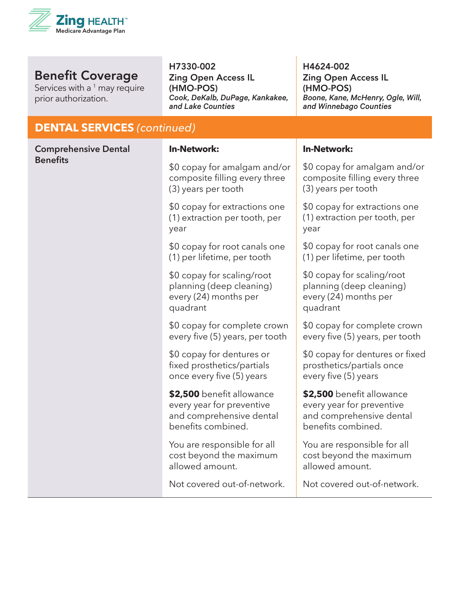

Services with a  $1$  may require prior authorization.

#### H7330-002

Zing Open Access IL (HMO-POS) *Cook, DeKalb, DuPage, Kankakee, and Lake Counties*

H4624-002 Zing Open Access IL (HMO-POS) *Boone, Kane, McHenry, Ogle, Will, and Winnebago Counties*

#### **DENTAL SERVICES** *(continued)*

| <b>Comprehensive Dental</b><br><b>Benefits</b> | <b>In-Network:</b>                                                                                       | <b>In-Network:</b>                                                                                       |
|------------------------------------------------|----------------------------------------------------------------------------------------------------------|----------------------------------------------------------------------------------------------------------|
|                                                | \$0 copay for amalgam and/or<br>composite filling every three<br>(3) years per tooth                     | \$0 copay for amalgam and/or<br>composite filling every three<br>(3) years per tooth                     |
|                                                | \$0 copay for extractions one<br>(1) extraction per tooth, per<br>year                                   | \$0 copay for extractions one<br>(1) extraction per tooth, per<br>year                                   |
|                                                | \$0 copay for root canals one<br>(1) per lifetime, per tooth                                             | \$0 copay for root canals one<br>(1) per lifetime, per tooth                                             |
|                                                | \$0 copay for scaling/root<br>planning (deep cleaning)<br>every (24) months per<br>quadrant              | \$0 copay for scaling/root<br>planning (deep cleaning)<br>every (24) months per<br>quadrant              |
|                                                | \$0 copay for complete crown<br>every five (5) years, per tooth                                          | \$0 copay for complete crown<br>every five (5) years, per tooth                                          |
|                                                | \$0 copay for dentures or<br>fixed prosthetics/partials<br>once every five (5) years                     | \$0 copay for dentures or fixed<br>prosthetics/partials once<br>every five (5) years                     |
|                                                | \$2,500 benefit allowance<br>every year for preventive<br>and comprehensive dental<br>benefits combined. | \$2,500 benefit allowance<br>every year for preventive<br>and comprehensive dental<br>benefits combined. |
|                                                | You are responsible for all<br>cost beyond the maximum<br>allowed amount.                                | You are responsible for all<br>cost beyond the maximum<br>allowed amount.                                |
|                                                | Not covered out-of-network.                                                                              | Not covered out-of-network.                                                                              |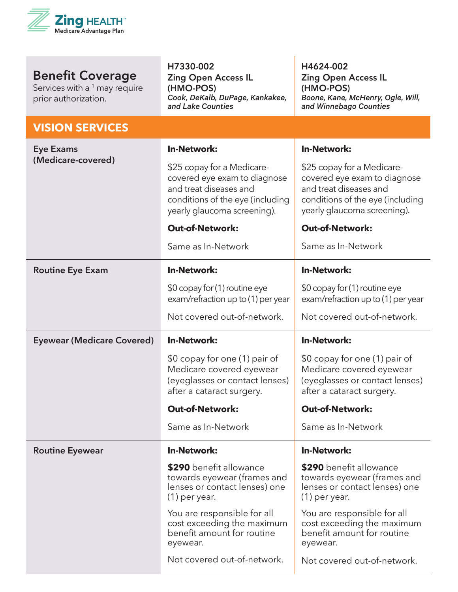

Services with a <sup>1</sup> may require prior authorization.

| <b>VISION SERVICES</b>            |                                                                                                                                                         |                                                                                                                                                         |
|-----------------------------------|---------------------------------------------------------------------------------------------------------------------------------------------------------|---------------------------------------------------------------------------------------------------------------------------------------------------------|
| <b>Eye Exams</b>                  | <b>In-Network:</b>                                                                                                                                      | <b>In-Network:</b>                                                                                                                                      |
| (Medicare-covered)                | \$25 copay for a Medicare-<br>covered eye exam to diagnose<br>and treat diseases and<br>conditions of the eye (including<br>yearly glaucoma screening). | \$25 copay for a Medicare-<br>covered eye exam to diagnose<br>and treat diseases and<br>conditions of the eye (including<br>yearly glaucoma screening). |
|                                   | <b>Out-of-Network:</b>                                                                                                                                  | <b>Out-of-Network:</b>                                                                                                                                  |
|                                   | Same as In-Network                                                                                                                                      | Same as In-Network                                                                                                                                      |
| <b>Routine Eye Exam</b>           | <b>In-Network:</b>                                                                                                                                      | <b>In-Network:</b>                                                                                                                                      |
|                                   | \$0 copay for (1) routine eye<br>exam/refraction up to (1) per year                                                                                     | \$0 copay for (1) routine eye<br>exam/refraction up to (1) per year                                                                                     |
|                                   | Not covered out-of-network.                                                                                                                             | Not covered out-of-network.                                                                                                                             |
| <b>Eyewear (Medicare Covered)</b> | <b>In-Network:</b>                                                                                                                                      | <b>In-Network:</b>                                                                                                                                      |
|                                   | \$0 copay for one (1) pair of<br>Medicare covered eyewear<br>(eyeglasses or contact lenses)<br>after a cataract surgery.                                | \$0 copay for one (1) pair of<br>Medicare covered eyewear<br>(eyeglasses or contact lenses)<br>after a cataract surgery.                                |
|                                   | <b>Out-of-Network:</b>                                                                                                                                  | <b>Out-of-Network:</b>                                                                                                                                  |
|                                   | Same as In-Network                                                                                                                                      | Same as In-Network                                                                                                                                      |
| <b>Routine Eyewear</b>            | <b>In-Network:</b>                                                                                                                                      | <b>In-Network:</b>                                                                                                                                      |
|                                   | \$290 benefit allowance<br>towards eyewear (frames and<br>lenses or contact lenses) one<br>$(1)$ per year.                                              | \$290 benefit allowance<br>towards eyewear (frames and<br>lenses or contact lenses) one<br>$(1)$ per year.                                              |
|                                   | You are responsible for all<br>cost exceeding the maximum<br>benefit amount for routine<br>eyewear.                                                     | You are responsible for all<br>cost exceeding the maximum<br>benefit amount for routine<br>eyewear.                                                     |
|                                   | Not covered out-of-network.                                                                                                                             | Not covered out-of-network.                                                                                                                             |

H7330-002

(HMO-POS)

*and Lake Counties*

Zing Open Access IL

*Cook, DeKalb, DuPage, Kankakee,* 

H4624-002

(HMO-POS)

Zing Open Access IL

*and Winnebago Counties*

*Boone, Kane, McHenry, Ogle, Will,*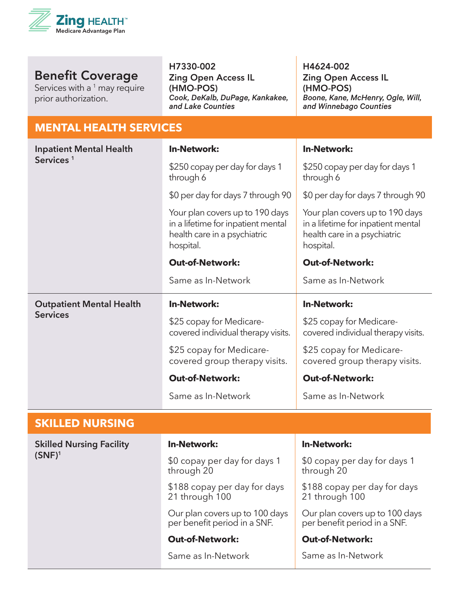

Services with a  $1$  may require prior authorization.

H7330-002

Zing Open Access IL (HMO-POS) *Cook, DeKalb, DuPage, Kankakee, and Lake Counties*

H4624-002 Zing Open Access IL (HMO-POS) *Boone, Kane, McHenry, Ogle, Will, and Winnebago Counties*

#### **MENTAL HEALTH SERVICES**

| <b>Inpatient Mental Health</b>  | <b>In-Network:</b>                                                                                                 | <b>In-Network:</b>                                                                                                 |
|---------------------------------|--------------------------------------------------------------------------------------------------------------------|--------------------------------------------------------------------------------------------------------------------|
| Services <sup>1</sup>           | \$250 copay per day for days 1<br>through 6                                                                        | \$250 copay per day for days 1<br>through 6                                                                        |
|                                 | \$0 per day for days 7 through 90                                                                                  | \$0 per day for days 7 through 90                                                                                  |
|                                 | Your plan covers up to 190 days<br>in a lifetime for inpatient mental<br>health care in a psychiatric<br>hospital. | Your plan covers up to 190 days<br>in a lifetime for inpatient mental<br>health care in a psychiatric<br>hospital. |
|                                 | <b>Out-of-Network:</b>                                                                                             | <b>Out-of-Network:</b>                                                                                             |
|                                 | Same as In-Network                                                                                                 | Same as In-Network                                                                                                 |
| <b>Outpatient Mental Health</b> | <b>In-Network:</b>                                                                                                 | <b>In-Network:</b>                                                                                                 |
| <b>Services</b>                 | \$25 copay for Medicare-<br>covered individual therapy visits.                                                     | \$25 copay for Medicare-<br>covered individual therapy visits.                                                     |
|                                 | \$25 copay for Medicare-<br>covered group therapy visits.                                                          | \$25 copay for Medicare-<br>covered group therapy visits.                                                          |
|                                 | <b>Out-of-Network:</b>                                                                                             | <b>Out-of-Network:</b>                                                                                             |
|                                 | Same as In-Network                                                                                                 | Same as In-Network                                                                                                 |
| <b>SKILLED NURSING</b>          |                                                                                                                    |                                                                                                                    |
| <b>Skilled Nursing Facility</b> | <b>In-Network:</b>                                                                                                 | <b>In-Network:</b>                                                                                                 |
| $(SNF)^1$                       | \$0 copay per day for days 1<br>through 20                                                                         | \$0 copay per day for days 1<br>through 20                                                                         |
|                                 | \$188 copay per day for days<br>21 through 100                                                                     | \$188 copay per day for days<br>21 through 100                                                                     |
|                                 | Our plan covers up to 100 days<br>per benefit period in a SNF.                                                     | Our plan covers up to 100 days<br>per benefit period in a SNF.                                                     |
|                                 | <b>Out-of-Network:</b>                                                                                             | <b>Out-of-Network:</b>                                                                                             |
|                                 | Same as In-Network                                                                                                 | Same as In-Network                                                                                                 |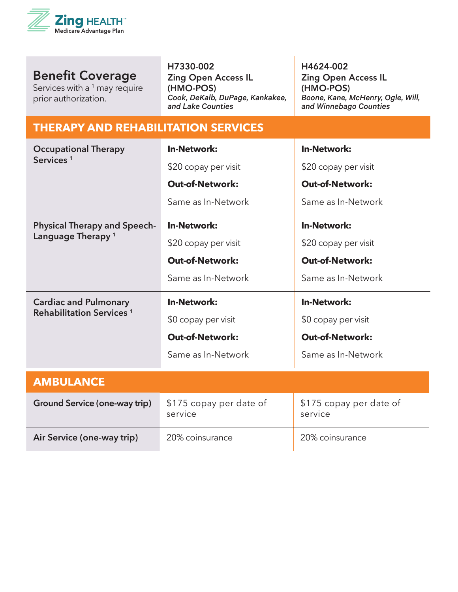

Services with a <sup>1</sup> may require prior authorization.

H7330-002

Zing Open Access IL (HMO-POS) *Cook, DeKalb, DuPage, Kankakee, and Lake Counties*

H4624-002 Zing Open Access IL (HMO-POS) *Boone, Kane, McHenry, Ogle, Will, and Winnebago Counties*

#### **THERAPY AND REHABILITATION SERVICES**

| <b>Occupational Therapy</b><br>Services <sup>1</sup> | <b>In-Network:</b>                 | <b>In-Network:</b>                 |
|------------------------------------------------------|------------------------------------|------------------------------------|
|                                                      | \$20 copay per visit               | \$20 copay per visit               |
|                                                      | <b>Out-of-Network:</b>             | <b>Out-of-Network:</b>             |
|                                                      | Same as In-Network                 | Same as In-Network                 |
| <b>Physical Therapy and Speech-</b>                  | <b>In-Network:</b>                 | <b>In-Network:</b>                 |
| Language Therapy <sup>1</sup>                        | \$20 copay per visit               | \$20 copay per visit               |
|                                                      | <b>Out-of-Network:</b>             | <b>Out-of-Network:</b>             |
|                                                      | Same as In-Network                 | Same as In-Network                 |
| <b>Cardiac and Pulmonary</b>                         | <b>In-Network:</b>                 | <b>In-Network:</b>                 |
| <b>Rehabilitation Services<sup>1</sup></b>           | \$0 copay per visit                | \$0 copay per visit                |
|                                                      | <b>Out-of-Network:</b>             | <b>Out-of-Network:</b>             |
|                                                      | Same as In-Network                 | Same as In-Network                 |
| <b>AMBULANCE</b>                                     |                                    |                                    |
|                                                      |                                    |                                    |
| <b>Ground Service (one-way trip)</b>                 | \$175 copay per date of<br>service | \$175 copay per date of<br>service |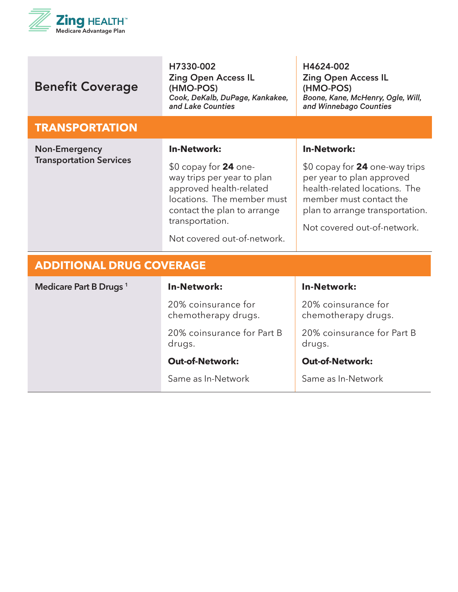

| <b>Benefit Coverage</b>                                | H7330-002<br><b>Zing Open Access IL</b><br>(HMO-POS)<br>Cook, DeKalb, DuPage, Kankakee,<br>and Lake Counties | H4624-002<br><b>Zing Open Access IL</b><br>(HMO-POS)<br>Boone, Kane, McHenry, Ogle, Will,<br>and Winnebago Counties |
|--------------------------------------------------------|--------------------------------------------------------------------------------------------------------------|---------------------------------------------------------------------------------------------------------------------|
| <b>TRANSPORTATION</b>                                  |                                                                                                              |                                                                                                                     |
| <b>Non-Emergency</b><br><b>Transportation Services</b> | <b>In-Network:</b><br>$$0$ copay for 24 one-<br>way trips per year to plan                                   | <b>In-Network:</b><br>\$0 copay for 24 one-way trips<br>per year to plan approved                                   |
|                                                        | approved health-related<br>locations. The member must<br>contact the plan to arrange<br>transportation.      | health-related locations. The<br>member must contact the<br>plan to arrange transportation.                         |
|                                                        | Not covered out-of-network.                                                                                  | Not covered out-of-network.                                                                                         |
| <b>ADDITIONAL DRUG COVERAGE</b>                        |                                                                                                              |                                                                                                                     |
| Medicare Part B Drugs <sup>1</sup>                     | <b>In-Network:</b>                                                                                           | <b>In-Network:</b>                                                                                                  |
|                                                        | 20% coinsurance for<br>chemotherapy drugs.                                                                   | 20% coinsurance for<br>chemotherapy drugs.                                                                          |
|                                                        | 20% coinsurance for Part B<br>drugs.                                                                         | 20% coinsurance for Part B<br>drugs.                                                                                |
|                                                        | <b>Out-of-Network:</b>                                                                                       | <b>Out-of-Network:</b>                                                                                              |
|                                                        | Same as In-Network                                                                                           | Same as In-Network                                                                                                  |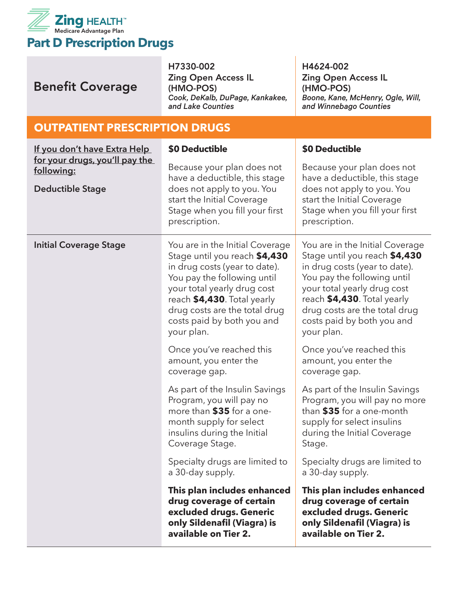

| <b>Benefit Coverage</b>                                                 | H7330-002<br><b>Zing Open Access IL</b><br>(HMO-POS)<br>Cook, DeKalb, DuPage, Kankakee,<br>and Lake Counties                                                                                                                                                                | H4624-002<br><b>Zing Open Access IL</b><br>(HMO-POS)<br>Boone, Kane, McHenry, Ogle, Will,<br>and Winnebago Counties                                                                                                                                                         |
|-------------------------------------------------------------------------|-----------------------------------------------------------------------------------------------------------------------------------------------------------------------------------------------------------------------------------------------------------------------------|-----------------------------------------------------------------------------------------------------------------------------------------------------------------------------------------------------------------------------------------------------------------------------|
| <b>OUTPATIENT PRESCRIPTION DRUGS</b>                                    |                                                                                                                                                                                                                                                                             |                                                                                                                                                                                                                                                                             |
| If you don't have Extra Help                                            | \$0 Deductible                                                                                                                                                                                                                                                              | \$0 Deductible                                                                                                                                                                                                                                                              |
| for your drugs, you'll pay the<br>following:<br><b>Deductible Stage</b> | Because your plan does not<br>have a deductible, this stage<br>does not apply to you. You<br>start the Initial Coverage<br>Stage when you fill your first<br>prescription.                                                                                                  | Because your plan does not<br>have a deductible, this stage<br>does not apply to you. You<br>start the Initial Coverage<br>Stage when you fill your first<br>prescription.                                                                                                  |
| <b>Initial Coverage Stage</b>                                           | You are in the Initial Coverage<br>Stage until you reach \$4,430<br>in drug costs (year to date).<br>You pay the following until<br>your total yearly drug cost<br>reach \$4,430. Total yearly<br>drug costs are the total drug<br>costs paid by both you and<br>your plan. | You are in the Initial Coverage<br>Stage until you reach \$4,430<br>in drug costs (year to date).<br>You pay the following until<br>your total yearly drug cost<br>reach \$4,430. Total yearly<br>drug costs are the total drug<br>costs paid by both you and<br>your plan. |
|                                                                         | Once you've reached this<br>amount, you enter the<br>coverage gap.                                                                                                                                                                                                          | Once you've reached this<br>amount, you enter the<br>coverage gap.                                                                                                                                                                                                          |
|                                                                         | As part of the Insulin Savings<br>Program, you will pay no<br>more than \$35 for a one-<br>month supply for select<br>insulins during the Initial<br>Coverage Stage.                                                                                                        | As part of the Insulin Savings<br>Program, you will pay no more<br>than \$35 for a one-month<br>supply for select insulins<br>during the Initial Coverage<br>Stage.                                                                                                         |
|                                                                         | Specialty drugs are limited to<br>a 30-day supply.                                                                                                                                                                                                                          | Specialty drugs are limited to<br>a 30-day supply.                                                                                                                                                                                                                          |
|                                                                         | This plan includes enhanced<br>drug coverage of certain<br>excluded drugs. Generic<br>only Sildenafil (Viagra) is<br>available on Tier 2.                                                                                                                                   | This plan includes enhanced<br>drug coverage of certain<br>excluded drugs. Generic<br>only Sildenafil (Viagra) is<br>available on Tier 2.                                                                                                                                   |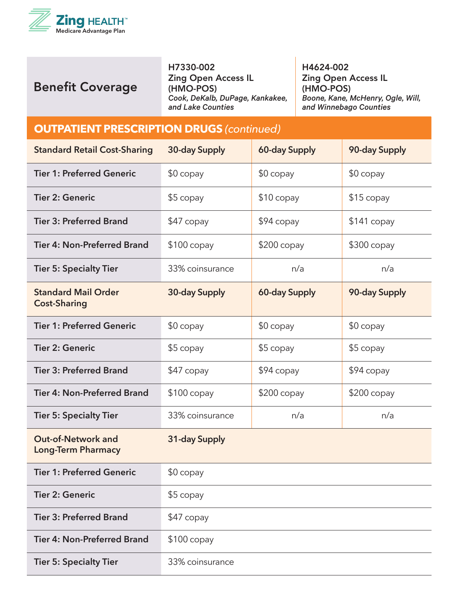

H7330-002 Zing Open Access IL (HMO-POS) *Cook, DeKalb, DuPage, Kankakee, and Lake Counties*

H4624-002 Zing Open Access IL (HMO-POS) *Boone, Kane, McHenry, Ogle, Will, and Winnebago Counties*

#### **OUTPATIENT PRESCRIPTION DRUGS** *(continued)*

| <b>Standard Retail Cost-Sharing</b>                    | 30-day Supply        | <b>60-day Supply</b> | 90-day Supply |
|--------------------------------------------------------|----------------------|----------------------|---------------|
| <b>Tier 1: Preferred Generic</b>                       | $$0$ copay           | $$0$ copay           | $$0$ copay    |
| <b>Tier 2: Generic</b>                                 | $$5$ copay           | $$10$ copay          | $$15$ copay   |
| <b>Tier 3: Preferred Brand</b>                         | \$47 copay           | $$94$ copay          | $$141$ copay  |
| <b>Tier 4: Non-Preferred Brand</b>                     | $$100$ copay         | $$200$ copay         | $$300$ copay  |
| <b>Tier 5: Specialty Tier</b>                          | 33% coinsurance      | n/a                  | n/a           |
| <b>Standard Mail Order</b><br><b>Cost-Sharing</b>      | <b>30-day Supply</b> | <b>60-day Supply</b> | 90-day Supply |
| <b>Tier 1: Preferred Generic</b>                       | $$0$ copay           | $$0$ copay           | $$0$ copay    |
| <b>Tier 2: Generic</b>                                 | \$5 copay            | \$5 copay            | \$5 copay     |
| <b>Tier 3: Preferred Brand</b>                         | $$47$ copay          | \$94 copay           | $$94$ copay   |
| <b>Tier 4: Non-Preferred Brand</b>                     | $$100$ copay         | $$200$ copay         | $$200$ copay  |
| <b>Tier 5: Specialty Tier</b>                          | 33% coinsurance      | n/a                  | n/a           |
| <b>Out-of-Network and</b><br><b>Long-Term Pharmacy</b> | 31-day Supply        |                      |               |
| <b>Tier 1: Preferred Generic</b>                       | $$0$ copay           |                      |               |
| <b>Tier 2: Generic</b>                                 | $$5$ copay           |                      |               |
| <b>Tier 3: Preferred Brand</b>                         | $$47$ copay          |                      |               |
| <b>Tier 4: Non-Preferred Brand</b>                     | $$100$ copay         |                      |               |
| <b>Tier 5: Specialty Tier</b>                          | 33% coinsurance      |                      |               |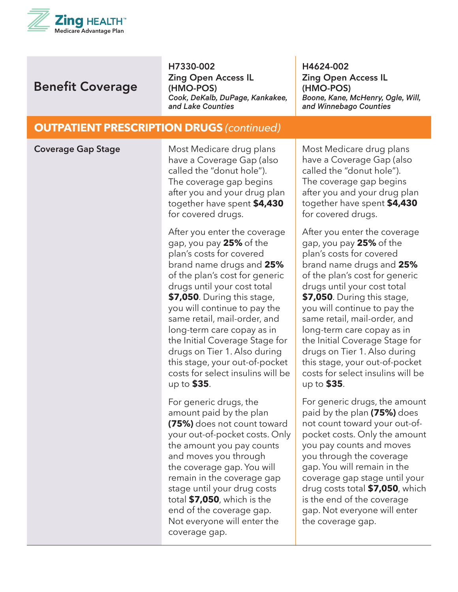

H7330-002 Zing Open Access IL (HMO-POS) *Cook, DeKalb, DuPage, Kankakee, and Lake Counties*

H4624-002 Zing Open Access IL (HMO-POS) *Boone, Kane, McHenry, Ogle, Will, and Winnebago Counties*

#### **OUTPATIENT PRESCRIPTION DRUGS** *(continued)*

| <b>Coverage Gap Stage</b> | Most Medicare drug plans<br>have a Coverage Gap (also<br>called the "donut hole").<br>The coverage gap begins<br>after you and your drug plan<br>together have spent \$4,430<br>for covered drugs.                                                                                                                                                                                                                                                                    | Most Medicare drug plans<br>have a Coverage Gap (also<br>called the "donut hole").<br>The coverage gap begins<br>after you and your drug plan<br>together have spent \$4,430<br>for covered drugs.                                                                                                                                                                                                                                                                    |
|---------------------------|-----------------------------------------------------------------------------------------------------------------------------------------------------------------------------------------------------------------------------------------------------------------------------------------------------------------------------------------------------------------------------------------------------------------------------------------------------------------------|-----------------------------------------------------------------------------------------------------------------------------------------------------------------------------------------------------------------------------------------------------------------------------------------------------------------------------------------------------------------------------------------------------------------------------------------------------------------------|
|                           | After you enter the coverage<br>gap, you pay 25% of the<br>plan's costs for covered<br>brand name drugs and 25%<br>of the plan's cost for generic<br>drugs until your cost total<br>\$7,050. During this stage,<br>you will continue to pay the<br>same retail, mail-order, and<br>long-term care copay as in<br>the Initial Coverage Stage for<br>drugs on Tier 1. Also during<br>this stage, your out-of-pocket<br>costs for select insulins will be<br>up to \$35. | After you enter the coverage<br>gap, you pay 25% of the<br>plan's costs for covered<br>brand name drugs and 25%<br>of the plan's cost for generic<br>drugs until your cost total<br>\$7,050. During this stage,<br>you will continue to pay the<br>same retail, mail-order, and<br>long-term care copay as in<br>the Initial Coverage Stage for<br>drugs on Tier 1. Also during<br>this stage, your out-of-pocket<br>costs for select insulins will be<br>up to \$35. |
|                           | For generic drugs, the<br>amount paid by the plan<br>(75%) does not count toward<br>your out-of-pocket costs. Only<br>the amount you pay counts<br>and moves you through<br>the coverage gap. You will<br>remain in the coverage gap<br>stage until your drug costs<br>total \$7,050, which is the<br>end of the coverage gap.<br>Not everyone will enter the<br>coverage gap.                                                                                        | For generic drugs, the amount<br>paid by the plan (75%) does<br>not count toward your out-of-<br>pocket costs. Only the amount<br>you pay counts and moves<br>you through the coverage<br>gap. You will remain in the<br>coverage gap stage until your<br>drug costs total \$7,050, which<br>is the end of the coverage<br>gap. Not everyone will enter<br>the coverage gap.                                                                                          |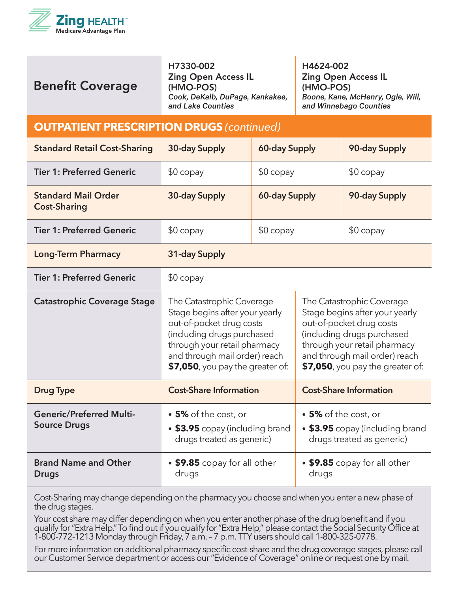

H7330-002 Zing Open Access IL (HMO-POS) *Cook, DeKalb, DuPage, Kankakee, and Lake Counties*

H4624-002 Zing Open Access IL (HMO-POS) *Boone, Kane, McHenry, Ogle, Will, and Winnebago Counties*

#### **OUTPATIENT PRESCRIPTION DRUGS** *(continued)*

| <b>Standard Retail Cost-Sharing</b>                    | 30-day Supply                                                                                                                                                                                                                                                                                                                                                                                                                                              | <b>60-day Supply</b> |                      | 90-day Supply                                                |
|--------------------------------------------------------|------------------------------------------------------------------------------------------------------------------------------------------------------------------------------------------------------------------------------------------------------------------------------------------------------------------------------------------------------------------------------------------------------------------------------------------------------------|----------------------|----------------------|--------------------------------------------------------------|
| <b>Tier 1: Preferred Generic</b>                       | $$0$ copay                                                                                                                                                                                                                                                                                                                                                                                                                                                 | $$0$ copay           |                      | $$0$ copay                                                   |
| <b>Standard Mail Order</b><br><b>Cost-Sharing</b>      | 30-day Supply                                                                                                                                                                                                                                                                                                                                                                                                                                              | 60-day Supply        |                      | 90-day Supply                                                |
| <b>Tier 1: Preferred Generic</b>                       | $$0$ copay                                                                                                                                                                                                                                                                                                                                                                                                                                                 | $$0$ copay           |                      | $$0$ copay                                                   |
| <b>Long-Term Pharmacy</b>                              | 31-day Supply                                                                                                                                                                                                                                                                                                                                                                                                                                              |                      |                      |                                                              |
| <b>Tier 1: Preferred Generic</b>                       | $$0$ copay                                                                                                                                                                                                                                                                                                                                                                                                                                                 |                      |                      |                                                              |
| <b>Catastrophic Coverage Stage</b>                     | The Catastrophic Coverage<br>The Catastrophic Coverage<br>Stage begins after your yearly<br>Stage begins after your yearly<br>out-of-pocket drug costs<br>out-of-pocket drug costs<br>(including drugs purchased<br>(including drugs purchased<br>through your retail pharmacy<br>through your retail pharmacy<br>and through mail order) reach<br>and through mail order) reach<br>\$7,050, you pay the greater of:<br>$$7,050$ , you pay the greater of: |                      |                      |                                                              |
| <b>Drug Type</b>                                       | <b>Cost-Share Information</b>                                                                                                                                                                                                                                                                                                                                                                                                                              |                      |                      | <b>Cost-Share Information</b>                                |
| <b>Generic/Preferred Multi-</b><br><b>Source Drugs</b> | • 5% of the cost, or<br>• \$3.95 copay (including brand<br>drugs treated as generic)                                                                                                                                                                                                                                                                                                                                                                       |                      | • 5% of the cost, or | • \$3.95 copay (including brand<br>drugs treated as generic) |
| <b>Brand Name and Other</b><br><b>Drugs</b>            | • \$9.85 copay for all other<br>drugs                                                                                                                                                                                                                                                                                                                                                                                                                      |                      | drugs                | • \$9.85 copay for all other                                 |

Cost-Sharing may change depending on the pharmacy you choose and when you enter a new phase of the drug stages.

Your cost share may differ depending on when you enter another phase of the drug benefit and if you qualify for "Extra Help." To find out if you qualify for "Extra Help," please contact the Social Security Office at 1-800-772-1213 Monday through Friday, 7 a.m. – 7 p.m. TTY users should call 1-800-325-0778.

For more information on additional pharmacy specific cost-share and the drug coverage stages, please call our Customer Service department or access our "Evidence of Coverage" online or request one by mail.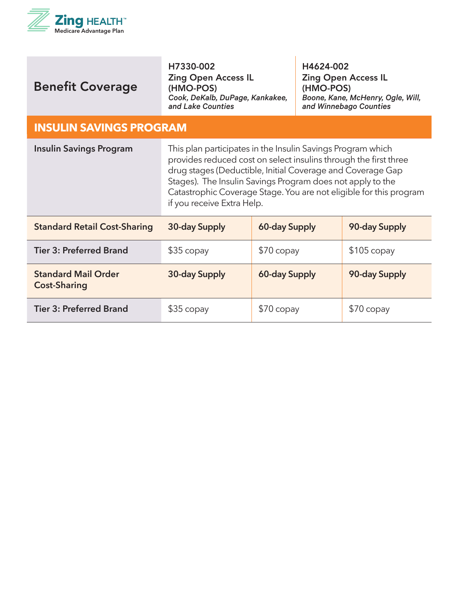

| <b>Benefit Coverage</b>                           | H7330-002<br><b>Zing Open Access IL</b><br>(HMO-POS)<br>Cook, DeKalb, DuPage, Kankakee,<br>and Lake Counties                                                                                                                                                                                                                                                    |               | H4624-002<br>(HMO-POS) | <b>Zing Open Access IL</b><br>Boone, Kane, McHenry, Ogle, Will,<br>and Winnebago Counties |
|---------------------------------------------------|-----------------------------------------------------------------------------------------------------------------------------------------------------------------------------------------------------------------------------------------------------------------------------------------------------------------------------------------------------------------|---------------|------------------------|-------------------------------------------------------------------------------------------|
| <b>INSULIN SAVINGS PROGRAM</b>                    |                                                                                                                                                                                                                                                                                                                                                                 |               |                        |                                                                                           |
| <b>Insulin Savings Program</b>                    | This plan participates in the Insulin Savings Program which<br>provides reduced cost on select insulins through the first three<br>drug stages (Deductible, Initial Coverage and Coverage Gap<br>Stages). The Insulin Savings Program does not apply to the<br>Catastrophic Coverage Stage. You are not eligible for this program<br>if you receive Extra Help. |               |                        |                                                                                           |
| <b>Standard Retail Cost-Sharing</b>               | 30-day Supply                                                                                                                                                                                                                                                                                                                                                   | 60-day Supply |                        | 90-day Supply                                                                             |
| <b>Tier 3: Preferred Brand</b>                    | $$35$ copay                                                                                                                                                                                                                                                                                                                                                     | $$70$ copay   |                        | $$105$ copay                                                                              |
| <b>Standard Mail Order</b><br><b>Cost-Sharing</b> | 30-day Supply                                                                                                                                                                                                                                                                                                                                                   | 60-day Supply |                        | 90-day Supply                                                                             |
| <b>Tier 3: Preferred Brand</b>                    | $$35$ copay                                                                                                                                                                                                                                                                                                                                                     | \$70 copay    |                        | $$70$ copay                                                                               |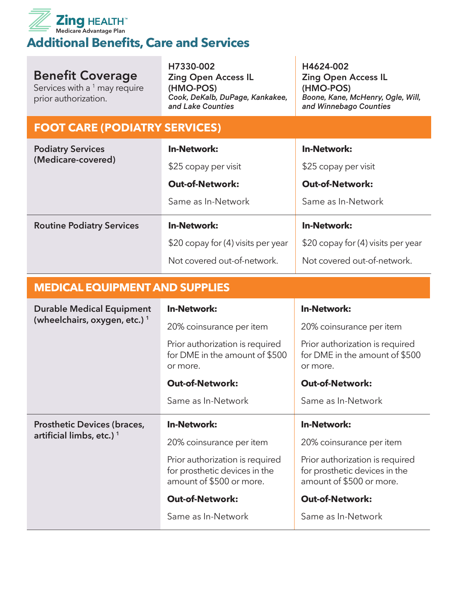

#### **Additional Benefits, Care and Services**

## Benefit Coverage

Services with a  $^1$  may require prior authorization.

H7330-002 Zing Open Access IL (HMO-POS) *Cook, DeKalb, DuPage, Kankakee, and Lake Counties*

H4624-002 Zing Open Access IL (HMO-POS) *Boone, Kane, McHenry, Ogle, Will, and Winnebago Counties*

#### **FOOT CARE (PODIATRY SERVICES)**

| <b>Podiatry Services</b><br>(Medicare-covered) | <b>In-Network:</b>                 | <b>In-Network:</b>                 |
|------------------------------------------------|------------------------------------|------------------------------------|
|                                                | \$25 copay per visit               | \$25 copay per visit               |
|                                                | <b>Out-of-Network:</b>             | <b>Out-of-Network:</b>             |
|                                                | Same as In-Network                 | Same as In-Network                 |
| <b>Routine Podiatry Services</b>               | <b>In-Network:</b>                 | <b>In-Network:</b>                 |
|                                                | \$20 copay for (4) visits per year | \$20 copay for (4) visits per year |
|                                                | Not covered out-of-network.        | Not covered out-of-network.        |

#### **MEDICAL EQUIPMENT AND SUPPLIES**

| <b>Durable Medical Equipment</b><br>(wheelchairs, oxygen, etc.) <sup>1</sup> | <b>In-Network:</b>                                                                           | <b>In-Network:</b>                                                                           |
|------------------------------------------------------------------------------|----------------------------------------------------------------------------------------------|----------------------------------------------------------------------------------------------|
|                                                                              | 20% coinsurance per item                                                                     | 20% coinsurance per item                                                                     |
|                                                                              | Prior authorization is required<br>for DME in the amount of \$500<br>or more.                | Prior authorization is required<br>for DME in the amount of \$500<br>or more.                |
|                                                                              | <b>Out-of-Network:</b>                                                                       | <b>Out-of-Network:</b>                                                                       |
|                                                                              | Same as In-Network                                                                           | Same as In-Network                                                                           |
| <b>Prosthetic Devices (braces,</b>                                           |                                                                                              |                                                                                              |
|                                                                              | <b>In-Network:</b>                                                                           | <b>In-Network:</b>                                                                           |
| artificial limbs, etc.) <sup>1</sup>                                         | 20% coinsurance per item                                                                     | 20% coinsurance per item                                                                     |
|                                                                              | Prior authorization is required<br>for prosthetic devices in the<br>amount of \$500 or more. | Prior authorization is required<br>for prosthetic devices in the<br>amount of \$500 or more. |
|                                                                              | <b>Out-of-Network:</b>                                                                       | <b>Out-of-Network:</b>                                                                       |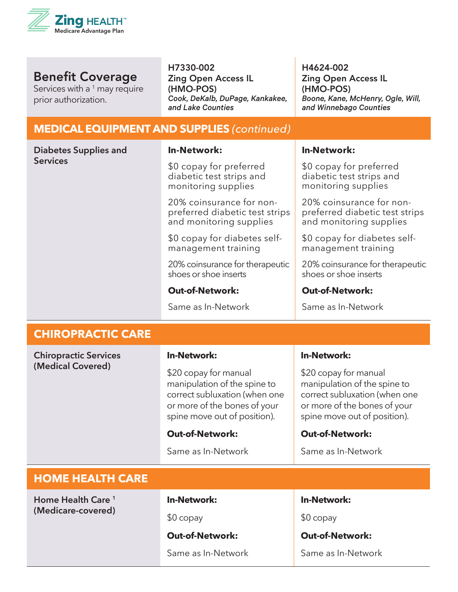

Services with a  $1$  may require prior authorization.

H7330-002 Zing Open Access IL (HMO-POS) *Cook, DeKalb, DuPage, Kankakee, and Lake Counties*

H4624-002 Zing Open Access IL (HMO-POS) *Boone, Kane, McHenry, Ogle, Will, and Winnebago Counties*

#### **MEDICAL EQUIPMENT AND SUPPLIES** *(continued)*

| <b>Diabetes Supplies and</b> | <b>In-Network:</b>                                                                                                                                     | <b>In-Network:</b>                                                                                                                                     |
|------------------------------|--------------------------------------------------------------------------------------------------------------------------------------------------------|--------------------------------------------------------------------------------------------------------------------------------------------------------|
| <b>Services</b>              | \$0 copay for preferred<br>diabetic test strips and<br>monitoring supplies                                                                             | \$0 copay for preferred<br>diabetic test strips and<br>monitoring supplies                                                                             |
|                              | 20% coinsurance for non-<br>preferred diabetic test strips<br>and monitoring supplies                                                                  | 20% coinsurance for non-<br>preferred diabetic test strips<br>and monitoring supplies                                                                  |
|                              | \$0 copay for diabetes self-<br>management training                                                                                                    | \$0 copay for diabetes self-<br>management training                                                                                                    |
|                              | 20% coinsurance for therapeutic<br>shoes or shoe inserts                                                                                               | 20% coinsurance for therapeutic<br>shoes or shoe inserts                                                                                               |
|                              | <b>Out-of-Network:</b>                                                                                                                                 | <b>Out-of-Network:</b>                                                                                                                                 |
|                              | Same as In-Network                                                                                                                                     | Same as In-Network                                                                                                                                     |
| <b>CHIROPRACTIC CARE</b>     |                                                                                                                                                        |                                                                                                                                                        |
| <b>Chiropractic Services</b> | <b>In-Network:</b>                                                                                                                                     | <b>In-Network:</b>                                                                                                                                     |
| (Medical Covered)            | \$20 copay for manual<br>manipulation of the spine to<br>correct subluxation (when one<br>or more of the bones of your<br>spine move out of position). | \$20 copay for manual<br>manipulation of the spine to<br>correct subluxation (when one<br>or more of the bones of your<br>spine move out of position). |
|                              | <b>Out-of-Network:</b>                                                                                                                                 | <b>Out-of-Network:</b>                                                                                                                                 |
|                              | Same as In-Network                                                                                                                                     | Same as In-Network                                                                                                                                     |
|                              |                                                                                                                                                        |                                                                                                                                                        |

#### **HOME HEALTH CARE**

**Home Health Care <sup>1</sup> (Medicare-covered)**

#### **In-Network:**

\$0 copay

#### **Out-of-Network:**

Same as In-Network

**In-Network:**

\$0 copay

**Out-of-Network:**

Same as In-Network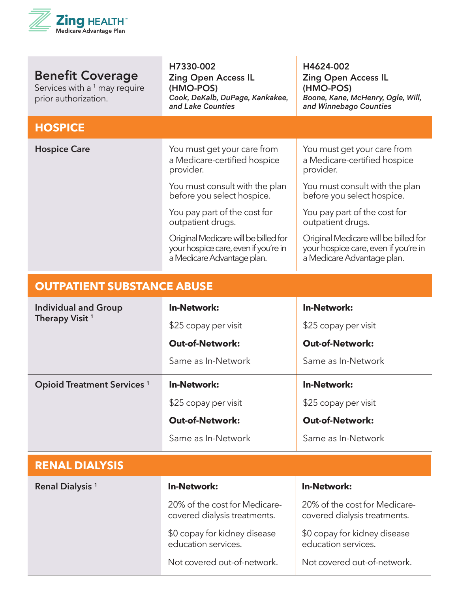

Services with a  $1$  may require prior authorization.

H7330-002 Zing Open Access IL (HMO-POS) *Cook, DeKalb, DuPage, Kankakee, and Lake Counties*

H4624-002 Zing Open Access IL (HMO-POS) *Boone, Kane, McHenry, Ogle, Will, and Winnebago Counties*

| <b>HOSPICE</b>      |                                                                                                            |                                                                                                            |
|---------------------|------------------------------------------------------------------------------------------------------------|------------------------------------------------------------------------------------------------------------|
| <b>Hospice Care</b> | You must get your care from<br>a Medicare-certified hospice<br>provider.                                   | You must get your care from<br>a Medicare-certified hospice<br>provider.                                   |
|                     | You must consult with the plan<br>before you select hospice.                                               | You must consult with the plan<br>before you select hospice.                                               |
|                     | You pay part of the cost for<br>outpatient drugs.                                                          | You pay part of the cost for<br>outpatient drugs.                                                          |
|                     | Original Medicare will be billed for<br>your hospice care, even if you're in<br>a Medicare Advantage plan. | Original Medicare will be billed for<br>your hospice care, even if you're in<br>a Medicare Advantage plan. |

#### **OUTPATIENT SUBSTANCE ABUSE**

| <b>Individual and Group</b><br>Therapy Visit <sup>1</sup> | <b>In-Network:</b><br>\$25 copay per visit                    | <b>In-Network:</b><br>\$25 copay per visit                    |
|-----------------------------------------------------------|---------------------------------------------------------------|---------------------------------------------------------------|
|                                                           | <b>Out-of-Network:</b>                                        | <b>Out-of-Network:</b>                                        |
|                                                           | Same as In-Network                                            | Same as In-Network                                            |
| <b>Opioid Treatment Services</b> <sup>1</sup>             | <b>In-Network:</b>                                            | <b>In-Network:</b>                                            |
|                                                           | \$25 copay per visit                                          | \$25 copay per visit                                          |
|                                                           | <b>Out-of-Network:</b>                                        | <b>Out-of-Network:</b>                                        |
|                                                           | Same as In-Network                                            | Same as In-Network                                            |
| <b>RENAL DIALYSIS</b>                                     |                                                               |                                                               |
| Renal Dialysis <sup>1</sup>                               | <b>In-Network:</b>                                            | <b>In-Network:</b>                                            |
|                                                           | 20% of the cost for Medicare-<br>covered dialysis treatments. | 20% of the cost for Medicare-<br>covered dialysis treatments. |
|                                                           | \$0 copay for kidney disease<br>education services.           | \$0 copay for kidney disease<br>education services.           |
|                                                           | Not covered out-of-network.                                   | Not covered out-of-network.                                   |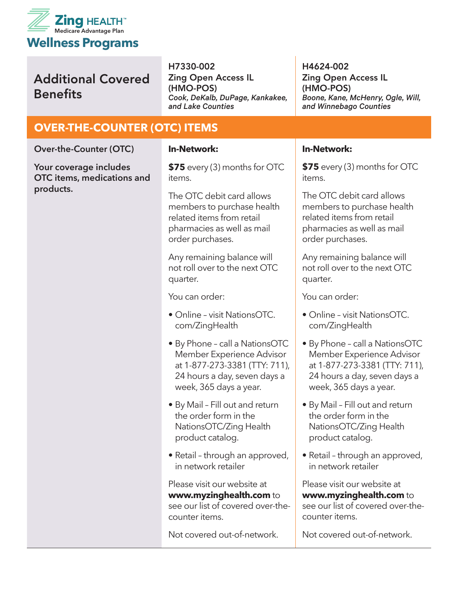

H7330-002 Zing Open Access IL (HMO-POS) *Cook, DeKalb, DuPage, Kankakee, and Lake Counties*

#### **OVER-THE-COUNTER (OTC) ITEMS**

**Over-the-Counter (OTC)**

**Your coverage includes OTC items, medications and products.** 

#### **In-Network:**

**\$75** every (3) months for OTC items.

The OTC debit card allows members to purchase health related items from retail pharmacies as well as mail order purchases.

Any remaining balance will not roll over to the next OTC quarter.

You can order:

- Online visit NationsOTC. com/ZingHealth
- By Phone call a NationsOTC Member Experience Advisor at 1-877-273-3381 (TTY: 711), 24 hours a day, seven days a week, 365 days a year.
- By Mail Fill out and return the order form in the NationsOTC/Zing Health product catalog.
- Retail through an approved, in network retailer

Please visit our website at **www.myzinghealth.com** to see our list of covered over-thecounter items.

Not covered out-of-network.

H4624-002 Zing Open Access IL (HMO-POS) *Boone, Kane, McHenry, Ogle, Will, and Winnebago Counties*

#### **In-Network:**

**\$75** every (3) months for OTC items.

The OTC debit card allows members to purchase health related items from retail pharmacies as well as mail order purchases.

Any remaining balance will not roll over to the next OTC quarter.

You can order:

- Online visit NationsOTC. com/ZingHealth
- By Phone call a NationsOTC Member Experience Advisor at 1-877-273-3381 (TTY: 711), 24 hours a day, seven days a week, 365 days a year.
- By Mail Fill out and return the order form in the NationsOTC/Zing Health product catalog.
- Retail through an approved, in network retailer

Please visit our website at **www.myzinghealth.com** to see our list of covered over-thecounter items.

Not covered out-of-network.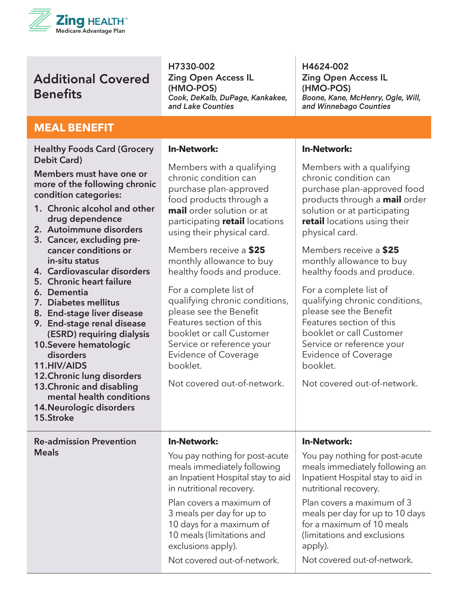

H7330-002 Zing Open Access IL (HMO-POS) *Cook, DeKalb, DuPage, Kankakee, and Lake Counties*

H4624-002 Zing Open Access IL (HMO-POS) *Boone, Kane, McHenry, Ogle, Will, and Winnebago Counties*

#### **MEAL BENEFIT**

**Healthy Foods Card (Grocery Debit Card)**

**Members must have one or more of the following chronic condition categories:**

- **1. Chronic alcohol and other drug dependence**
- **2. Autoimmune disorders**
- **3. Cancer, excluding precancer conditions or in-situ status**
- **4. Cardiovascular disorders**
- **5. Chronic heart failure**
- **6. Dementia**
- **7. Diabetes mellitus**
- **8. End-stage liver disease**
- **9. End-stage renal disease (ESRD) requiring dialysis**
- **10.Severe hematologic disorders**
- **11.HIV/AIDS**
- **12.Chronic lung disorders**
- **13.Chronic and disabling mental health conditions**
- **14.Neurologic disorders**
- **15.Stroke**

**Re-admission Prevention Meals**

#### **In-Network:**

Members with a qualifying chronic condition can purchase plan-approved food products through a **mail** order solution or at participating **retail** locations using their physical card.

Members receive a **\$25** monthly allowance to buy healthy foods and produce.

For a complete list of qualifying chronic conditions, please see the Benefit Features section of this booklet or call Customer Service or reference your Evidence of Coverage booklet.

Not covered out-of-network.

You pay nothing for post-acute meals immediately following an Inpatient Hospital stay to aid

in nutritional recovery.

exclusions apply).

Plan covers a maximum of 3 meals per day for up to 10 days for a maximum of 10 meals (limitations and

**In-Network:**

#### **In-Network:**

Members with a qualifying chronic condition can purchase plan-approved food products through a **mail** order solution or at participating **retail** locations using their physical card.

Members receive a **\$25** monthly allowance to buy healthy foods and produce.

For a complete list of qualifying chronic conditions, please see the Benefit Features section of this booklet or call Customer Service or reference your Evidence of Coverage booklet.

Not covered out-of-network.

#### **In-Network:**

You pay nothing for post-acute meals immediately following an Inpatient Hospital stay to aid in nutritional recovery.

Plan covers a maximum of 3 meals per day for up to 10 days for a maximum of 10 meals (limitations and exclusions apply).

Not covered out-of-network.

Not covered out-of-network.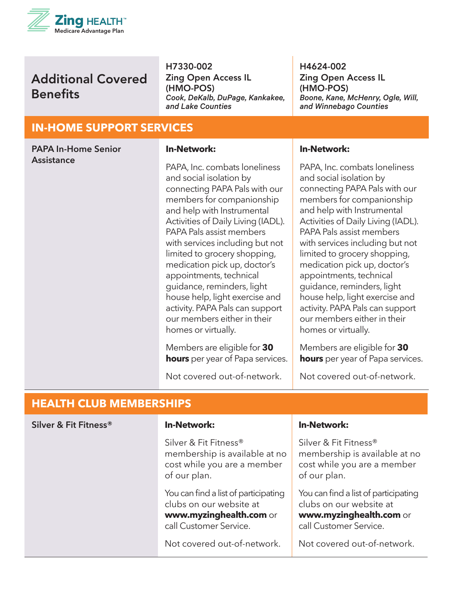

H7330-002 Zing Open Access IL (HMO-POS) *Cook, DeKalb, DuPage, Kankakee, and Lake Counties*

H4624-002 Zing Open Access IL (HMO-POS) *Boone, Kane, McHenry, Ogle, Will, and Winnebago Counties*

#### **IN-HOME SUPPORT SERVICES**

| <b>PAPA In-Home Senior</b> | <b>In-Network:</b>                                                                                                                                                                                                                                                                                                                                                                                                                                                                                            | <b>In-Network:</b>                                                                                                                                                                                                                                                                                                                                                                                                                                                                                            |
|----------------------------|---------------------------------------------------------------------------------------------------------------------------------------------------------------------------------------------------------------------------------------------------------------------------------------------------------------------------------------------------------------------------------------------------------------------------------------------------------------------------------------------------------------|---------------------------------------------------------------------------------------------------------------------------------------------------------------------------------------------------------------------------------------------------------------------------------------------------------------------------------------------------------------------------------------------------------------------------------------------------------------------------------------------------------------|
| <b>Assistance</b>          | PAPA, Inc. combats loneliness<br>and social isolation by<br>connecting PAPA Pals with our<br>members for companionship<br>and help with Instrumental<br>Activities of Daily Living (IADL).<br>PAPA Pals assist members<br>with services including but not<br>limited to grocery shopping,<br>medication pick up, doctor's<br>appointments, technical<br>guidance, reminders, light<br>house help, light exercise and<br>activity. PAPA Pals can support<br>our members either in their<br>homes or virtually. | PAPA, Inc. combats loneliness<br>and social isolation by<br>connecting PAPA Pals with our<br>members for companionship<br>and help with Instrumental<br>Activities of Daily Living (IADL).<br>PAPA Pals assist members<br>with services including but not<br>limited to grocery shopping,<br>medication pick up, doctor's<br>appointments, technical<br>guidance, reminders, light<br>house help, light exercise and<br>activity. PAPA Pals can support<br>our members either in their<br>homes or virtually. |
|                            | Members are eligible for 30<br><b>hours</b> per year of Papa services.                                                                                                                                                                                                                                                                                                                                                                                                                                        | Members are eligible for 30<br><b>hours</b> per year of Papa services.                                                                                                                                                                                                                                                                                                                                                                                                                                        |
|                            | Not covered out-of-network.                                                                                                                                                                                                                                                                                                                                                                                                                                                                                   | Not covered out-of-network.                                                                                                                                                                                                                                                                                                                                                                                                                                                                                   |

#### **HEALTH CLUB MEMBERSHIPS**

| Silver & Fit Fitness® | <b>In-Network:</b>                                                                                                   | <b>In-Network:</b>                                                                                                   |
|-----------------------|----------------------------------------------------------------------------------------------------------------------|----------------------------------------------------------------------------------------------------------------------|
|                       | Silver & Fit Fitness®<br>membership is available at no<br>cost while you are a member<br>of our plan.                | Silver & Fit Fitness®<br>membership is available at no<br>cost while you are a member<br>of our plan.                |
|                       | You can find a list of participating<br>clubs on our website at<br>www.myzinghealth.com or<br>call Customer Service. | You can find a list of participating<br>clubs on our website at<br>www.myzinghealth.com or<br>call Customer Service. |
|                       | Not covered out-of-network.                                                                                          | Not covered out-of-network.                                                                                          |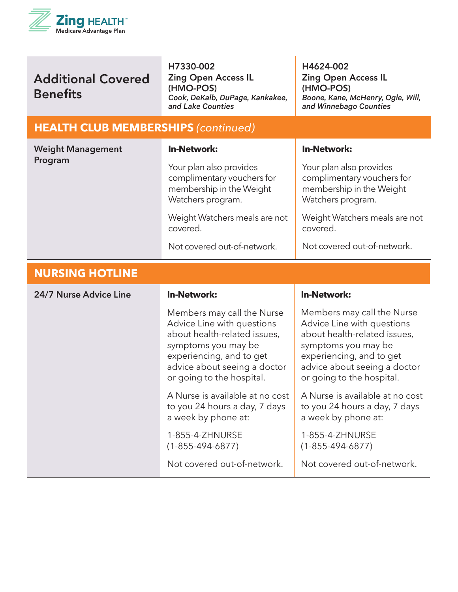

H7330-002 Zing Open Access IL (HMO-POS) *Cook, DeKalb, DuPage, Kankakee, and Lake Counties*

H4624-002 Zing Open Access IL (HMO-POS) *Boone, Kane, McHenry, Ogle, Will, and Winnebago Counties*

#### **HEALTH CLUB MEMBERSHIPS** *(continued)*

| <b>Weight Management</b><br>Program | <b>In-Network:</b>                                                                                                                                                                                       | <b>In-Network:</b>                                                                                                                                                                                       |
|-------------------------------------|----------------------------------------------------------------------------------------------------------------------------------------------------------------------------------------------------------|----------------------------------------------------------------------------------------------------------------------------------------------------------------------------------------------------------|
|                                     | Your plan also provides<br>complimentary vouchers for<br>membership in the Weight<br>Watchers program.                                                                                                   | Your plan also provides<br>complimentary vouchers for<br>membership in the Weight<br>Watchers program.                                                                                                   |
|                                     | Weight Watchers meals are not<br>covered.                                                                                                                                                                | Weight Watchers meals are not<br>covered.                                                                                                                                                                |
|                                     | Not covered out-of-network.                                                                                                                                                                              | Not covered out-of-network.                                                                                                                                                                              |
| <b>NURSING HOTLINE</b>              |                                                                                                                                                                                                          |                                                                                                                                                                                                          |
| 24/7 Nurse Advice Line              | <b>In-Network:</b>                                                                                                                                                                                       | <b>In-Network:</b>                                                                                                                                                                                       |
|                                     | Members may call the Nurse<br>Advice Line with questions<br>about health-related issues,<br>symptoms you may be<br>experiencing, and to get<br>advice about seeing a doctor<br>or going to the hospital. | Members may call the Nurse<br>Advice Line with questions<br>about health-related issues,<br>symptoms you may be<br>experiencing, and to get<br>advice about seeing a doctor<br>or going to the hospital. |
|                                     | A Nurse is available at no cost<br>to you 24 hours a day, 7 days<br>a week by phone at:                                                                                                                  | A Nurse is available at no cost<br>to you 24 hours a day, 7 days<br>a week by phone at:                                                                                                                  |
|                                     | 1-855-4-ZHNURSE<br>$(1 - 855 - 494 - 6877)$                                                                                                                                                              | 1-855-4-ZHNURSE<br>$(1 - 855 - 494 - 6877)$                                                                                                                                                              |
|                                     | Not covered out-of-network.                                                                                                                                                                              | Not covered out-of-network.                                                                                                                                                                              |